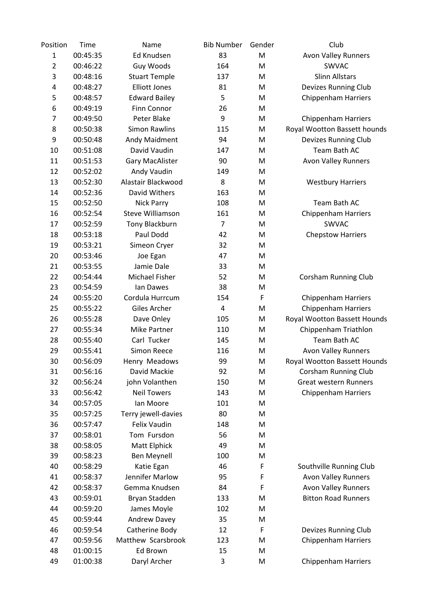| Position       | Time     | Name                    | <b>Bib Number</b> | Gender | Club                         |
|----------------|----------|-------------------------|-------------------|--------|------------------------------|
| $\mathbf{1}$   | 00:45:35 | Ed Knudsen              | 83                | M      | Avon Valley Runners          |
| $\overline{2}$ | 00:46:22 | Guy Woods               | 164               | M      | SWVAC                        |
| 3              | 00:48:16 | <b>Stuart Temple</b>    | 137               | M      | <b>Slinn Allstars</b>        |
| 4              | 00:48:27 | <b>Elliott Jones</b>    | 81                | M      | Devizes Running Club         |
| 5              | 00:48:57 | <b>Edward Bailey</b>    | 5                 | M      | <b>Chippenham Harriers</b>   |
| 6              | 00:49:19 | Finn Connor             | 26                | M      |                              |
| 7              | 00:49:50 | Peter Blake             | 9                 | M      | <b>Chippenham Harriers</b>   |
| 8              | 00:50:38 | <b>Simon Rawlins</b>    | 115               | M      | Royal Wootton Bassett hounds |
| 9              | 00:50:48 | Andy Maidment           | 94                | M      | Devizes Running Club         |
| 10             | 00:51:08 | David Vaudin            | 147               | M      | Team Bath AC                 |
| 11             | 00:51:53 | <b>Gary MacAlister</b>  | 90                | M      | <b>Avon Valley Runners</b>   |
| 12             | 00:52:02 | Andy Vaudin             | 149               | M      |                              |
| 13             | 00:52:30 | Alastair Blackwood      | 8                 | M      | <b>Westbury Harriers</b>     |
| 14             | 00:52:36 | David Withers           | 163               | M      |                              |
| 15             | 00:52:50 | <b>Nick Parry</b>       | 108               | M      | Team Bath AC                 |
| 16             | 00:52:54 | <b>Steve Williamson</b> | 161               | M      | <b>Chippenham Harriers</b>   |
| 17             | 00:52:59 | Tony Blackburn          | 7                 | M      | SWVAC                        |
| 18             | 00:53:18 | Paul Dodd               | 42                | M      | <b>Chepstow Harriers</b>     |
| 19             | 00:53:21 | Simeon Cryer            | 32                | M      |                              |
| 20             | 00:53:46 | Joe Egan                | 47                | M      |                              |
| 21             | 00:53:55 | Jamie Dale              | 33                | M      |                              |
| 22             | 00:54:44 | Michael Fisher          | 52                | M      | <b>Corsham Running Club</b>  |
| 23             | 00:54:59 | lan Dawes               | 38                | M      |                              |
| 24             | 00:55:20 | Cordula Hurrcum         | 154               | F      | <b>Chippenham Harriers</b>   |
| 25             | 00:55:22 | Giles Archer            | 4                 | M      | <b>Chippenham Harriers</b>   |
| 26             | 00:55:28 | Dave Onley              | 105               | M      | Royal Wootton Bassett Hounds |
| 27             | 00:55:34 | <b>Mike Partner</b>     | 110               | M      | Chippenham Triathlon         |
| 28             | 00:55:40 | Carl Tucker             | 145               | M      | Team Bath AC                 |
| 29             | 00:55:41 | <b>Simon Reece</b>      | 116               | M      | <b>Avon Valley Runners</b>   |
| 30             | 00:56:09 | Henry Meadows           | 99                | M      | Royal Wootton Bassett Hounds |
| 31             | 00:56:16 | David Mackie            | 92                | M      | Corsham Running Club         |
| 32             | 00:56:24 | john Volanthen          | 150               | M      | <b>Great western Runners</b> |
| 33             | 00:56:42 | <b>Neil Towers</b>      | 143               | M      | <b>Chippenham Harriers</b>   |
| 34             | 00:57:05 | Ian Moore               | 101               | M      |                              |
| 35             | 00:57:25 | Terry jewell-davies     | 80                | M      |                              |
| 36             | 00:57:47 | <b>Felix Vaudin</b>     | 148               | M      |                              |
| 37             | 00:58:01 | Tom Fursdon             | 56                | M      |                              |
| 38             | 00:58:05 | Matt Elphick            | 49                | M      |                              |
| 39             | 00:58:23 | <b>Ben Meynell</b>      | 100               | M      |                              |
| 40             | 00:58:29 | Katie Egan              | 46                | F      | Southville Running Club      |
| 41             | 00:58:37 | Jennifer Marlow         | 95                | F      | <b>Avon Valley Runners</b>   |
| 42             | 00:58:37 | Gemma Knudsen           | 84                | F      | <b>Avon Valley Runners</b>   |
| 43             | 00:59:01 | Bryan Stadden           | 133               | M      | <b>Bitton Road Runners</b>   |
| 44             | 00:59:20 | James Moyle             | 102               | M      |                              |
| 45             | 00:59:44 | Andrew Davey            | 35                | M      |                              |
| 46             | 00:59:54 | Catherine Body          | 12                | F      | Devizes Running Club         |
| 47             | 00:59:56 | Matthew Scarsbrook      | 123               | M      | <b>Chippenham Harriers</b>   |
| 48             | 01:00:15 | Ed Brown                | 15                | M      |                              |
|                |          |                         | 3                 |        |                              |
| 49             | 01:00:38 | Daryl Archer            |                   | M      | <b>Chippenham Harriers</b>   |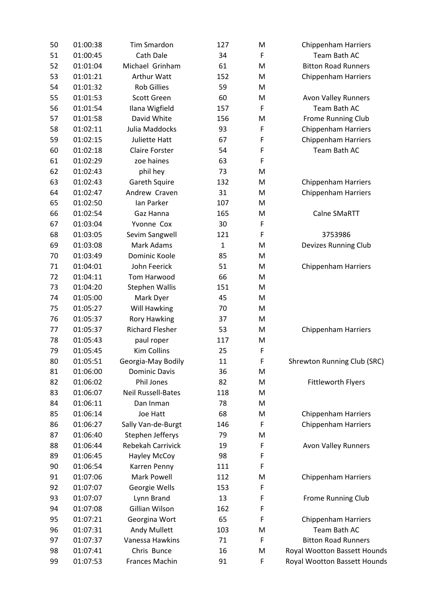| 50 | 01:00:38 | <b>Tim Smardon</b>        | 127          | M | <b>Chippenham Harriers</b>         |
|----|----------|---------------------------|--------------|---|------------------------------------|
| 51 | 01:00:45 | Cath Dale                 | 34           | F | Team Bath AC                       |
| 52 | 01:01:04 | Michael Grinham           | 61           | M | <b>Bitton Road Runners</b>         |
| 53 | 01:01:21 | <b>Arthur Watt</b>        | 152          | M | <b>Chippenham Harriers</b>         |
| 54 | 01:01:32 | <b>Rob Gillies</b>        | 59           | M |                                    |
| 55 | 01:01:53 | Scott Green               | 60           | M | <b>Avon Valley Runners</b>         |
| 56 | 01:01:54 | Ilana Wigfield            | 157          | F | Team Bath AC                       |
| 57 | 01:01:58 | David White               | 156          | M | Frome Running Club                 |
| 58 | 01:02:11 | Julia Maddocks            | 93           | F | <b>Chippenham Harriers</b>         |
| 59 | 01:02:15 | Juliette Hatt             | 67           | F | <b>Chippenham Harriers</b>         |
| 60 | 01:02:18 | <b>Claire Forster</b>     | 54           | F | Team Bath AC                       |
| 61 | 01:02:29 | zoe haines                | 63           | F |                                    |
| 62 | 01:02:43 | phil hey                  | 73           | M |                                    |
| 63 | 01:02:43 | Gareth Squire             | 132          | M | <b>Chippenham Harriers</b>         |
| 64 | 01:02:47 | Andrew Craven             | 31           | M | <b>Chippenham Harriers</b>         |
| 65 | 01:02:50 | Ian Parker                | 107          | M |                                    |
| 66 | 01:02:54 | Gaz Hanna                 | 165          | M | Calne SMaRTT                       |
| 67 | 01:03:04 | Yvonne Cox                | 30           | F |                                    |
| 68 | 01:03:05 | Sevim Sangwell            | 121          | F | 3753986                            |
| 69 | 01:03:08 | <b>Mark Adams</b>         | $\mathbf{1}$ | M | <b>Devizes Running Club</b>        |
| 70 | 01:03:49 | Dominic Koole             | 85           | M |                                    |
| 71 | 01:04:01 | John Feerick              | 51           | M | <b>Chippenham Harriers</b>         |
| 72 | 01:04:11 | Tom Harwood               | 66           | M |                                    |
| 73 | 01:04:20 | Stephen Wallis            | 151          | M |                                    |
| 74 | 01:05:00 | Mark Dyer                 | 45           | M |                                    |
| 75 | 01:05:27 | Will Hawking              | 70           | M |                                    |
| 76 | 01:05:37 | <b>Rory Hawking</b>       | 37           | M |                                    |
| 77 | 01:05:37 | <b>Richard Flesher</b>    | 53           | M | <b>Chippenham Harriers</b>         |
| 78 | 01:05:43 | paul roper                | 117          | M |                                    |
| 79 | 01:05:45 | <b>Kim Collins</b>        | 25           | F |                                    |
| 80 | 01:05:51 | Georgia-May Bodily        | 11           | F | <b>Shrewton Running Club (SRC)</b> |
| 81 | 01:06:00 | <b>Dominic Davis</b>      | 36           | M |                                    |
| 82 | 01:06:02 | Phil Jones                | 82           | M | <b>Fittleworth Flyers</b>          |
| 83 | 01:06:07 | <b>Neil Russell-Bates</b> | 118          | M |                                    |
| 84 | 01:06:11 | Dan Inman                 | 78           | M |                                    |
| 85 | 01:06:14 | Joe Hatt                  | 68           | M | <b>Chippenham Harriers</b>         |
| 86 | 01:06:27 | Sally Van-de-Burgt        | 146          | F | <b>Chippenham Harriers</b>         |
| 87 | 01:06:40 | Stephen Jefferys          | 79           | M |                                    |
| 88 | 01:06:44 | <b>Rebekah Carrivick</b>  | 19           | F | <b>Avon Valley Runners</b>         |
| 89 | 01:06:45 | Hayley McCoy              | 98           | F |                                    |
| 90 | 01:06:54 | Karren Penny              | 111          | F |                                    |
| 91 | 01:07:06 | <b>Mark Powell</b>        | 112          | M | <b>Chippenham Harriers</b>         |
| 92 | 01:07:07 | Georgie Wells             | 153          | F |                                    |
| 93 | 01:07:07 | Lynn Brand                | 13           | F | Frome Running Club                 |
| 94 | 01:07:08 | Gillian Wilson            | 162          | F |                                    |
| 95 | 01:07:21 | Georgina Wort             | 65           | F | <b>Chippenham Harriers</b>         |
| 96 | 01:07:31 | Andy Mullett              | 103          | M | Team Bath AC                       |
| 97 | 01:07:37 | Vanessa Hawkins           | 71           | F | <b>Bitton Road Runners</b>         |
| 98 | 01:07:41 | Chris Bunce               | 16           | M |                                    |
|    |          |                           |              | F | Royal Wootton Bassett Hounds       |
| 99 | 01:07:53 | Frances Machin            | 91           |   | Royal Wootton Bassett Hounds       |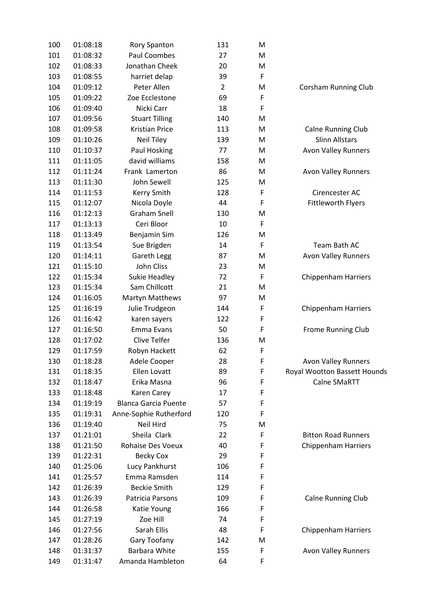| 100 | 01:08:18 | Rory Spanton                | 131            | M |                              |
|-----|----------|-----------------------------|----------------|---|------------------------------|
| 101 | 01:08:32 | <b>Paul Coombes</b>         | 27             | M |                              |
| 102 | 01:08:33 | Jonathan Cheek              | 20             | M |                              |
| 103 | 01:08:55 | harriet delap               | 39             | F |                              |
| 104 | 01:09:12 | Peter Allen                 | $\overline{2}$ | M | Corsham Running Club         |
| 105 | 01:09:22 | Zoe Ecclestone              | 69             | F |                              |
| 106 | 01:09:40 | Nicki Carr                  | 18             | F |                              |
| 107 | 01:09:56 | <b>Stuart Tilling</b>       | 140            | M |                              |
| 108 | 01:09:58 | <b>Kristian Price</b>       | 113            | M | <b>Calne Running Club</b>    |
| 109 | 01:10:26 | <b>Neil Tiley</b>           | 139            | M | <b>Slinn Allstars</b>        |
| 110 | 01:10:37 | Paul Hosking                | 77             | M | <b>Avon Valley Runners</b>   |
| 111 | 01:11:05 | david williams              | 158            | M |                              |
| 112 | 01:11:24 | Frank Lamerton              | 86             | M | <b>Avon Valley Runners</b>   |
| 113 | 01:11:30 | John Sewell                 | 125            | M |                              |
| 114 | 01:11:53 | Kerry Smith                 | 128            | F | Cirencester AC               |
| 115 | 01:12:07 | Nicola Doyle                | 44             | F | <b>Fittleworth Flyers</b>    |
| 116 | 01:12:13 | <b>Graham Snell</b>         | 130            | M |                              |
| 117 | 01:13:13 | Ceri Bloor                  | 10             | F |                              |
| 118 | 01:13:49 | Benjamin Sim                | 126            | M |                              |
| 119 | 01:13:54 | Sue Brigden                 | 14             | F | Team Bath AC                 |
| 120 | 01:14:11 | Gareth Legg                 | 87             | M | <b>Avon Valley Runners</b>   |
| 121 | 01:15:10 | John Cliss                  | 23             | M |                              |
| 122 | 01:15:34 | Sukie Headley               | 72             | F | <b>Chippenham Harriers</b>   |
| 123 | 01:15:34 | Sam Chillcott               | 21             | M |                              |
| 124 | 01:16:05 | <b>Martyn Matthews</b>      | 97             | M |                              |
| 125 | 01:16:19 | Julie Trudgeon              | 144            | F | <b>Chippenham Harriers</b>   |
| 126 | 01:16:42 | karen sayers                | 122            | F |                              |
| 127 | 01:16:50 | <b>Emma Evans</b>           | 50             | F | Frome Running Club           |
| 128 | 01:17:02 | Clive Telfer                | 136            | M |                              |
| 129 | 01:17:59 | Robyn Hackett               | 62             | F |                              |
| 130 | 01:18:28 | Adele Cooper                | 28             | F | <b>Avon Valley Runners</b>   |
| 131 | 01:18:35 | Ellen Lovatt                | 89             | F | Royal Wootton Bassett Hounds |
| 132 | 01:18:47 | Erika Masna                 | 96             | F | Calne SMaRTT                 |
| 133 | 01:18:48 | Karen Carey                 | 17             | F |                              |
| 134 | 01:19:19 | <b>Blanca Garcia Puente</b> | 57             | F |                              |
| 135 | 01:19:31 | Anne-Sophie Rutherford      | 120            | F |                              |
| 136 | 01:19:40 | Neil Hird                   | 75             | M |                              |
| 137 | 01:21:01 | Sheila Clark                | 22             | F | <b>Bitton Road Runners</b>   |
| 138 | 01:21:50 | <b>Rohaise Des Voeux</b>    | 40             | F | <b>Chippenham Harriers</b>   |
| 139 | 01:22:31 | <b>Becky Cox</b>            | 29             | F |                              |
| 140 | 01:25:06 | Lucy Pankhurst              | 106            | F |                              |
| 141 | 01:25:57 | Emma Ramsden                | 114            | F |                              |
| 142 | 01:26:39 | <b>Beckie Smith</b>         | 129            | F |                              |
| 143 | 01:26:39 | Patricia Parsons            | 109            | F | Calne Running Club           |
| 144 | 01:26:58 | Katie Young                 | 166            | F |                              |
| 145 | 01:27:19 | Zoe Hill                    | 74             | F |                              |
| 146 | 01:27:56 | Sarah Ellis                 | 48             | F | <b>Chippenham Harriers</b>   |
| 147 | 01:28:26 | Gary Toofany                | 142            | M |                              |
| 148 | 01:31:37 | <b>Barbara White</b>        | 155            | F | <b>Avon Valley Runners</b>   |
| 149 | 01:31:47 | Amanda Hambleton            | 64             | F |                              |
|     |          |                             |                |   |                              |